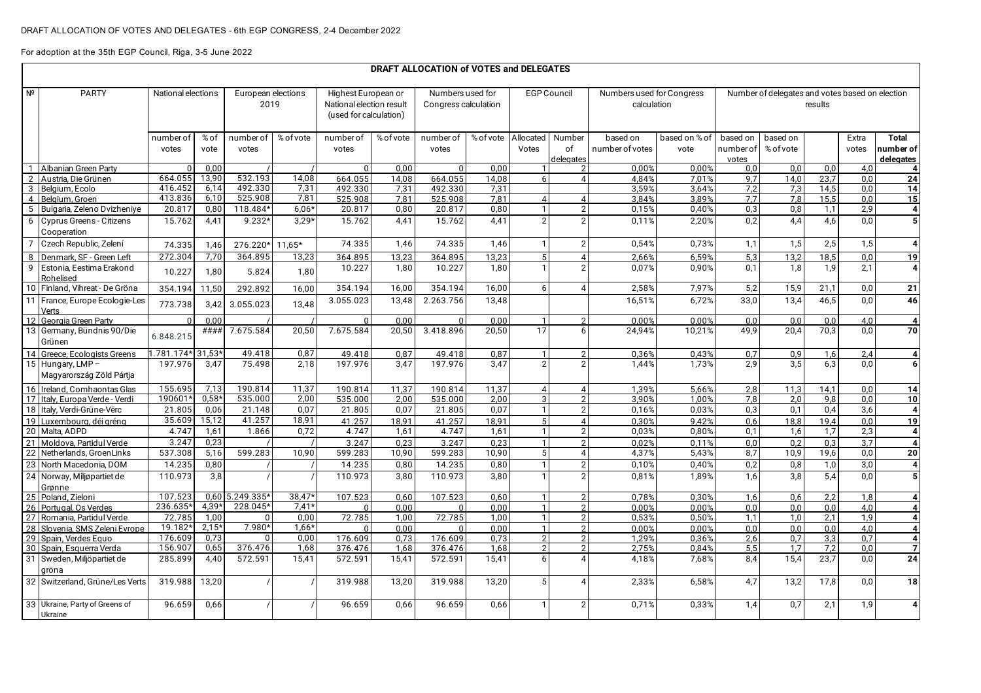For adoption at the 35th EGP Council, Riga, 3-5 June 2022

|                 | DRAFT ALLOCATION of VOTES and DELEGATES                |                    |               |                            |              |                                                                           |               |                                          |               |                            |                        |                                          |                       |                                                            |                       |              |                |                           |
|-----------------|--------------------------------------------------------|--------------------|---------------|----------------------------|--------------|---------------------------------------------------------------------------|---------------|------------------------------------------|---------------|----------------------------|------------------------|------------------------------------------|-----------------------|------------------------------------------------------------|-----------------------|--------------|----------------|---------------------------|
| Nº              | <b>PARTY</b>                                           | National elections |               | European elections<br>2019 |              | Highest European or<br>National election result<br>(used for calculation) |               | Numbers used for<br>Congress calculation |               | <b>EGP Council</b>         |                        | Numbers used for Congress<br>calculation |                       | Number of delegates and votes based on election<br>results |                       |              |                |                           |
|                 |                                                        | number of<br>votes | % of<br>vote  | number of<br>votes         | % of vote    | number of<br>votes                                                        | % of vote     | number of<br>votes                       | % of vote     | Allocated<br>Votes         | Number<br>of           | based on<br>number of votes              | based on % of<br>vote | based on<br>number of                                      | based on<br>% of vote |              | Extra<br>votes | <b>Total</b><br>number of |
|                 |                                                        |                    |               |                            |              |                                                                           |               |                                          |               |                            | delegates              |                                          |                       | votes                                                      |                       |              |                | delegates                 |
|                 | Albanian Green Party                                   | $\Omega$           | 0.00          |                            |              | $\Omega$                                                                  | 0.00          | $\Omega$                                 | 0.00          |                            | $\overline{2}$         | 0.00%                                    | 0.00%                 | 0.0                                                        | 0.0                   | 0.0          | 4.0            | 4                         |
| $\overline{2}$  | Austria, Die Grünen                                    | 664.055<br>416.452 | 13,90<br>6,14 | 532.193<br>492.330         | 14,08        | 664.055                                                                   | 14,08         | 664.055                                  | 14,08         | $6 \mid$                   |                        | 4,84%                                    | 7,01%                 | 9,7                                                        | 14,0                  | 23,7         | 0,0            | 24                        |
|                 | 3 Belgium, Ecolo<br>4 Belaium, Groen                   | 413.836            | 6,10          | 525.908                    | 7,31<br>7,81 | 492.330<br>525.908                                                        | 7,31<br>7.81  | 492.330<br>525.908                       | 7.31<br>7.81  | $\overline{4}$             | $\Delta$               | 3,59%<br>3,84%                           | 3,64%<br>3.89%        | 7,2<br>7.7                                                 | 7,3<br>7.8            | 14,5<br>15,5 | 0.0<br>0.0     | 14<br>15                  |
|                 | 5 Bulgaria, Zeleno Dvizheniye                          | 20.817             | 0,80          | 118.484*                   | $6,06*$      | 20.817                                                                    | 0,80          | 20.817                                   | 0,80          |                            | $\overline{2}$         | 0,15%                                    | 0,40%                 | 0,3                                                        | 0,8                   | 1,1          | 2,9            | $\boldsymbol{4}$          |
|                 | 6 Cyprus Greens - Citizens<br>Cooperation              | 15.762             | 4.41          | $9.232*$                   | $3.29*$      | 15.762                                                                    | 4.41          | 15.762                                   | 4.41          | $\overline{2}$             | $\mathcal{P}$          | 0.11%                                    | 2,20%                 | 0.2                                                        | 4,4                   | 4,6          | 0.0            | $\overline{5}$            |
| $\overline{7}$  | Czech Republic, Zelení                                 | 74.335             | 1,46          | 276.220*                   | $11,65*$     | 74.335                                                                    | 1,46          | 74.335                                   | 1,46          |                            | $\overline{2}$         | 0,54%                                    | 0,73%                 | 1,1                                                        | $\overline{1,5}$      | 2,5          | 1,5            | $\overline{\mathbf{4}}$   |
|                 | 8 Denmark, SF - Green Left                             | 272.304            | 7,70          | 364.895                    | 13,23        | 364.895                                                                   | 13,23         | 364.895                                  | 13,23         | 5 <sup>1</sup>             | $\boldsymbol{\Lambda}$ | 2,66%                                    | 6,59%                 | 5,3                                                        | 13,2                  | 18,5         | 0,0            | 19                        |
| 9               | Estonia, Eestima Erakond<br>Rohelised                  | 10.227             | 1,80          | 5.824                      | 1,80         | 10.227                                                                    | 1,80          | 10.227                                   | 1,80          |                            |                        | 0.07%                                    | 0,90%                 | 0.1                                                        | 1,8                   | 1.9          | 2,1            | $\overline{4}$            |
|                 | 10 Finland, Vihreat - De Gröna                         | 354.194            | 11,50         | 292.892                    | 16,00        | 354.194                                                                   | 16,00         | 354.194                                  | 16,00         | $6 \mid$                   | $\boldsymbol{\Lambda}$ | 2,58%                                    | 7,97%                 | 5,2                                                        | 15,9                  | 21,1         | 0,0            | 21                        |
| 11              | France, Europe Ecologie-Les<br>Verts                   | 773.738            | 3,42          | 3.055.023                  | 13,48        | 3.055.023                                                                 | 13,48         | 2.263.756                                | 13,48         |                            |                        | 16,51%                                   | 6,72%                 | 33,0                                                       | 13,4                  | 46,5         | 0,0            | 46                        |
|                 | 12 Georgia Green Party                                 | $\Omega$           | 0.00          |                            |              |                                                                           | 0,00          | $\Omega$                                 | 0,00          |                            | 2                      | 0,00%                                    | 0,00%                 | 0,0                                                        | 0.0                   | 0,0          | 4,0            | 4                         |
|                 | 13 Germany, Bündnis 90/Die<br>Grünen                   | 6.848.215          | ####          | 7.675.584                  | 20,50        | 7.675.584                                                                 | 20,50         | 3.418.896                                | 20.50         | 17                         | 6                      | 24,94%                                   | 10,21%                | 49,9                                                       | 20,4                  | 70.3         | 0.0            | 70                        |
|                 | 14 Greece, Ecologists Greens                           | 1.781.174* 31,53*  |               | 49.418                     | 0,87         | 49.418                                                                    | 0,87          | 49.418                                   | 0,87          |                            |                        | 0,36%                                    | 0,43%                 | 0,7                                                        | 0,9                   | 1,6          | 2,4            | 4                         |
|                 | 15 Hungary, LMP-<br>Magyarország Zöld Pártja           | 197.976            | 3,47          | 75.498                     | 2,18         | 197.976                                                                   | 3,47          | 197.976                                  | 3.47          | $\overline{2}$             |                        | 1.44%                                    | 1,73%                 | 2,9                                                        | 3.5                   | 6.3          | 0.0            | 6                         |
|                 | 16 Ireland, Comhaontas Glas                            | 155.695            | 7,13          | 190.814                    | 11,37        | 190.814                                                                   | 11,37         | 190.814                                  | 11,37         | 4                          | 4                      | 1,39%                                    | 5,66%                 | 2,8                                                        | 11,3                  | 14,1         | 0.0            | 14                        |
|                 | 17 Italy, Europa Verde - Verdi                         | 190601*            | $0.58*$       | 535.000                    | 2,00         | 535.000                                                                   | 2.00          | 535.000                                  | 2.00          | 3                          |                        | 3.90%                                    | 1.00%                 | 7,8                                                        | 2.0                   | 9.8          | 0.0            | 10                        |
|                 | 18 Italy, Verdi-Grüne-Vërc                             | 21.805             | 0,06          | 21.148                     | 0,07         | 21.805                                                                    | 0,07          | 21.805                                   | 0,07          |                            | $\overline{2}$         | 0,16%                                    | 0,03%                 | 0,3                                                        | 0,1                   | 0,4          | 3,6            | $\overline{4}$            |
| 19              | Luxemboura, déi aréna                                  | 35.609             | 15,12         | 41.257                     | 18,91        | 41.257                                                                    | 18.91         | 41.257                                   | 18.91         | 5 <sup>1</sup>             |                        | 0.30%                                    | 9.42%                 | 0.6                                                        | 18,8                  | 19.4         | 0.0            | 19                        |
|                 | 20 Malta, ADPD                                         | 4.747              | 1,61          | 1.866                      | 0,72         | 4.747                                                                     | 1,61          | 4.747                                    | 1,61          | $\mathbf{1}$               | $\overline{2}$         | 0,03%                                    | 0,80%                 | 0,1                                                        | 1,6                   | 1,7          | 2,3            | $\overline{4}$            |
| 21              | Moldova, Partidul Verde                                | 3.247              | 0.23          |                            |              | 3.247                                                                     | 0,23          | 3.247                                    | 0,23          | $\mathbf{1}$               | $\mathcal{P}$          | 0.02%                                    | 0.11%                 | 0.0                                                        | 0.2                   | 0.3          | 3.7            | $\overline{4}$            |
| 22              | Netherlands, GroenLinks                                | 537.308            | 5,16          | 599.283                    | 10,90        | 599.283                                                                   | 10,90         | 599.283                                  | 10,90         | $5\overline{5}$            | $\Delta$               | 4,37%                                    | 5,43%                 | 8,7                                                        | 10,9                  | 19,6         | 0,0            | 20                        |
| 23              | North Macedonia, DOM                                   | 14.235             | 0,80          |                            |              | 14.235                                                                    | 0,80          | 14.235                                   | 0,80          | $\mathbf{1}$               | $\overline{2}$         | 0,10%                                    | 0,40%                 | 0,2                                                        | 0,8                   | 1,0          | 3,0            | $\overline{\mathbf{4}}$   |
| 24              | Norway, Miljøpartiet de<br>Grønne                      | 110.973            | 3,8           |                            |              | 110.973                                                                   | 3.80          | 110.973                                  | 3.80          |                            |                        | 0.81%                                    | 1.89%                 | 1,6                                                        | $\overline{3,8}$      | 5.4          | 0.0            | $\overline{5}$            |
|                 | 25 Poland. Zieloni                                     | 107.523            |               | 0.60 5.249.335             | $38.47*$     | 107.523                                                                   | 0.60          | 107.523                                  | 0.60          | $\overline{1}$             | $\overline{2}$         | 0.78%                                    | 0.30%                 | 1.6                                                        | 0.6                   | 2.2          | 1.8            | 4                         |
|                 | 26 Portugal, Os Verdes                                 | 236.635*           | $4,39*$       | 228.045*                   | $7,41*$      |                                                                           | 0.00          | $\Omega$                                 | 0.00          |                            |                        | 0.00%                                    | 0,00%                 | 0.0 <sub>1</sub>                                           | 0.0                   | 0.0          | 4.0            | $\overline{4}$            |
|                 | 27 Romania, Partidul Verde                             | 72.785             | 1.00          | $\Omega$                   | 0.00         | 72.785                                                                    | 1,00          | 72.785                                   | 1.00          | $\mathbf{1}$               | $\overline{2}$         | 0,53%                                    | 0,50%                 | 1.1                                                        | 1.0                   | 2,1          | 1,9            | 4                         |
| 28 <sup>1</sup> | Slovenia, SMS Zeleni Evrope                            | 19.182*            | $2,15*$       | 7.980*                     | $1,66*$      |                                                                           | 0.00          | $\Omega$                                 | 0.00          | $\mathbf{1}$               | $\mathcal{D}$          | 0.00%                                    | 0,00%                 | 0.0                                                        | 0.0                   | 0.0          | 4.0            | $\overline{4}$            |
|                 | 29 Spain, Verdes Equo                                  | 176.609<br>156.907 | 0.73<br>0,65  | $\Omega$<br>376.476        | 0.00<br>1,68 | 176.609                                                                   | 0.73          | 176.609                                  | 0.73          | $\overline{2}$             | $\overline{2}$<br>2    | 1.29%                                    | 0.36%                 | 2,6<br>5,5                                                 | 0,7                   | 3,3          | 0.7            | $\boldsymbol{A}$          |
|                 | 30 Spain, Esquerra Verda<br>31 Sweden, Miljöpartiet de | 285.899            | 4,40          | 572.591                    | 15,41        | 376.476<br>572.591                                                        | 1,68<br>15,41 | 376.476<br>572.591                       | 1,68<br>15,41 | $\overline{2}$<br>$6 \mid$ |                        | 2.75%<br>4.18%                           | 0,84%<br>7,68%        | 8,4                                                        | 1.7<br>15,4           | 7.2<br>23,7  | 0,0<br>0.0     | $\overline{7}$<br>24      |
|                 | gröna<br>32 Switzerland, Grüne/Les Verts               | 319.988            | 13,20         |                            |              | 319.988                                                                   | 13,20         | 319.988                                  | 13,20         | 5 <sup>1</sup>             |                        | 2,33%                                    | 6,58%                 | 4,7                                                        | 13,2                  | 17,8         | 0,0            | 18                        |
|                 | 33 Ukraine, Party of Greens of<br>Ukraine              | 96.659             | 0,66          |                            |              | 96.659                                                                    | 0,66          | 96.659                                   | 0,66          |                            | $\overline{2}$         | 0,71%                                    | 0,33%                 | 1,4                                                        | 0,7                   | 2,1          | 1,9            | $\overline{4}$            |